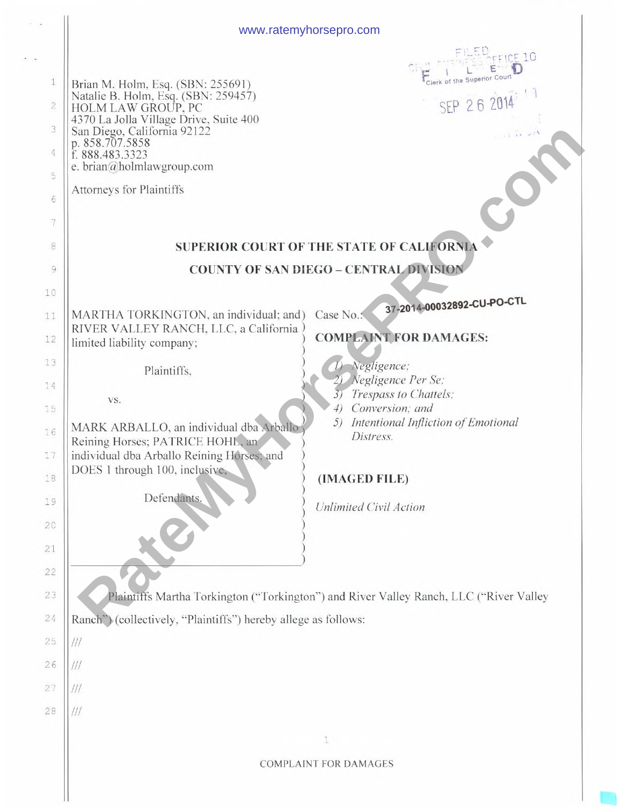|                                                                    | www.ratemyhorsepro.com                                                                                                                                                                                                                                                                                                        |
|--------------------------------------------------------------------|-------------------------------------------------------------------------------------------------------------------------------------------------------------------------------------------------------------------------------------------------------------------------------------------------------------------------------|
| 1<br>$\sqrt{2}$<br>3<br>$\overline{4}$<br>5<br>6<br>$\overline{7}$ | $CE$ 10<br>Clerk of the Superior Court<br>Brian M. Holm, Esq. (SBN: 255691)<br>Natalie B. Holm, Esq. (SBN: 259457)<br>HOLM LAW GROUP, PC<br>SEP 26 20<br>4370 La Jolla Village Drive, Suite 400<br>San Diego, California 92122<br>p. 858.707.5858<br>f. 888.483.3323<br>e. brian@holmlawgroup.com<br>Attorneys for Plaintiffs |
| 8                                                                  | <b>SUPERIOR COURT OF THE STATE OF CALIFORNIA</b>                                                                                                                                                                                                                                                                              |
| 9                                                                  | <b>COUNTY OF SAN DIEGO - CENTRAL DIVISION</b>                                                                                                                                                                                                                                                                                 |
| 10                                                                 |                                                                                                                                                                                                                                                                                                                               |
| $11\,$<br>12                                                       | 37-2014-00032892-CU-PO-CTL<br>MARTHA TORKINGTON, an individual; and)<br>Case No.:<br>RIVER VALLEY RANCH, LLC, a California<br><b>COMPLAINT FOR DAMAGES:</b><br>limited liability company;                                                                                                                                     |
| 13                                                                 | Negligence;                                                                                                                                                                                                                                                                                                                   |
| 14                                                                 | Plaintiffs,<br>Negligence Per Se;                                                                                                                                                                                                                                                                                             |
| 15                                                                 | Trespass to Chattels;<br>37<br>VS.<br>Conversion; and<br>4)                                                                                                                                                                                                                                                                   |
| 16<br>$17\,$<br>18<br>19<br>20<br>21                               | Intentional Infliction of Emotional<br>5)<br>MARK ARBALLO, an individual dba Arballo<br>Distress.<br>Reining Horses; PATRICE HOHL, an<br>individual dba Arballo Reining Horses; and<br>DOES 1 through 100, inclusive,<br>(IMAGED FILE)<br>Defendants.<br>Unlimited Civil Action                                               |
| 22<br>23                                                           | Plaintiffs Martha Torkington ("Torkington") and River Valley Ranch, LLC ("River Valley                                                                                                                                                                                                                                        |
| 24                                                                 | Ranch") (collectively, "Plaintiffs") hereby allege as follows:                                                                                                                                                                                                                                                                |
| 25                                                                 | 111                                                                                                                                                                                                                                                                                                                           |
| 26                                                                 | ///                                                                                                                                                                                                                                                                                                                           |
| 27                                                                 | $/$ ///                                                                                                                                                                                                                                                                                                                       |
| 28                                                                 |                                                                                                                                                                                                                                                                                                                               |
|                                                                    | $\mathbbm{1}$                                                                                                                                                                                                                                                                                                                 |
|                                                                    | <b>COMPLAINT FOR DAMAGES</b>                                                                                                                                                                                                                                                                                                  |
|                                                                    |                                                                                                                                                                                                                                                                                                                               |

 $\frac{1}{2}$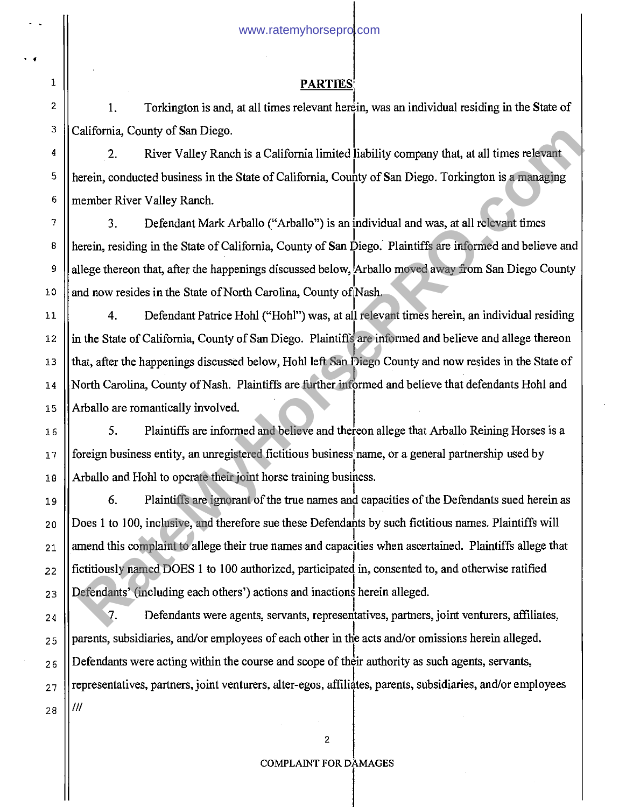### PARTIES

1. Torkington is and, at all times relevant herein, was an individual residing in the State of California, County of San Diego.

2. River Valley Ranch is a California limited iability company that, at all times relevant herein, conducted business in the State of California, County of San Diego. Torkington is a managing member River Valley Ranch.

3. Defendant Mark Arballo ("Arballo") is an individual and was, at all relevant times herein, residing in the State of California, County of San Diego. Plaintiffs are informed and believe and allege thereon that, after the happenings discussed below, Arballo moved away from San Diego County and now resides in the State of North Carolina, County of Nash.

4. Defendant Patrice Hohl ("Hohl") was, at all relevant times herein, an individual residing in the State of California, County of San Diego. Plaintiffs are informed and believe and allege thereon that, after the happenings discussed below, Hohl left San Diego County and now resides in the State of North Carolina, County of Nash. Plaintiffs are further informed and believe that defendants Hohl and Arballo are romantically involved.

5. Plaintiffs are informed and believe and thereon allege that Arballo Reining Horses is a foreign business entity, an unregistered fictitious business name, or a general partnership used by Arballo and Hohl to operate their joint horse training business.

6. Plaintiffs are ignorant of the true names and capacities of the Defendants sued herein as Does 1 to 100, inclusive, and therefore sue these Defendants by such fictitious names. Plaintiffs will amend this complaint to allege their true names and capacities when ascertained. Plaintiffs allege that fictitiously named DOES 1 to 100 authorized, participated in, consented to, and otherwise ratified Defendants' (including each others') actions and inactions herein alleged. California, County of San Diego.<br>
2. River Valley Ranch is a California limited lability company that, at all times relevant<br>
Retein, conducted business in the State of California, County of San Diego. Torkington is a mana

7. Defendants were agents, servants, representatives, partners, joint venturers, affiliates, parents, subsidiaries, and/or employees of each other in the acts and/or omissions herein alleged. Defendants were acting within the course and scope of their authority as such agents, servants, representatives, partners, joint venturers, alter-egos, affiliates, parents, subsidiaries, and/or employees /II

**• f** 

 $\mathbf{1}$ 

### COMPLAINT FOR DAMAGES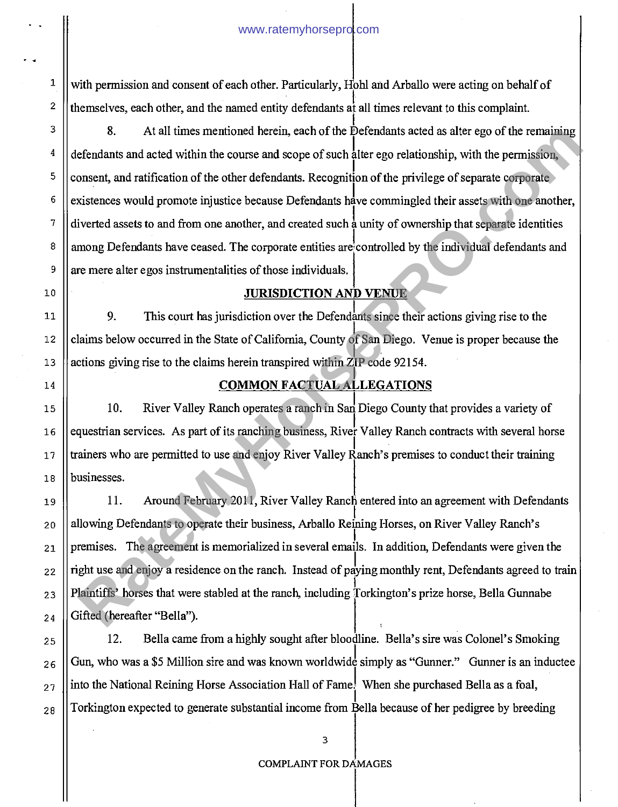with permission and consent of each other. Particularly, Hohl and Arballo were acting on behalf of themselves, each other, and the named entity defendants at all times relevant to this complaint.

8. At all times mentioned herein, each of the Defendants acted as alter ego of the remaining defendants and acted within the course and scope of such alter ego relationship, with the permission, consent, and ratification of the other defendants. Recognition of the privilege of separate corporate existences would promote injustice because Defendants have commingled their assets with one another, diverted assets to and from one another, and created such a unity of ownership that separate identities among Defendants have ceased. The corporate entities are controlled by the individual defendants and are mere alter egos instrumentalities of those individuals. 8. At all times mentioned herein, each of the Defendants acted as after ego of the remaining<br>effendants and eated within the course and scope of such alter ego colutionship, with the permission<br>onsent, and ratification of

### **JURISDICTION AND VENUE**

9. This court has jurisdiction over the Defendants since their actions giving rise to the claims below occurred in the State of California, County of San Diego. Venue is proper because the actions giving rise to the claims herein transpired within ZIP code 92154.

# **COMMON FACTUAL ALLEGATIONS**

10. River Valley Ranch operates a ranch in San Diego County that provides a variety of equestrian services. As part of its ranching business, River Valley Ranch contracts with several horse trainers who are permitted to use and enjoy River Valley Ranch's premises to conduct their training businesses.

11. Around February 2011, River Valley Ranch entered into an agreement with Defendants allowing Defendants to operate their business, Arballo Reining Horses, on River Valley Ranch's premises. The agreement is memorialized in several emails. In addition, Defendants were given the right use and enjoy a residence on the ranch. Instead of paying monthly rent, Defendants agreed to train Plaintiffs' horses that were stabled at the ranch, including Torkington's prize horse, Bella Gunnabe Gifted (hereafter "Bella").

12. Bella came from a highly sought after bloodline. Bella's sire was Colonel's Smoking Gun, who was a \$5 Million sire and was known worldwide simply as "Gunner." Gunner is an inductee into the National Reining Horse Association Hall of Fame! When she purchased Bella as a foal, Torkington expected to generate substantial income from Bella because of her pedigree by breeding

 $\mathbf 1$ 

 $\overline{c}$ 

3

#### COMPLAINT FOR DAMAGES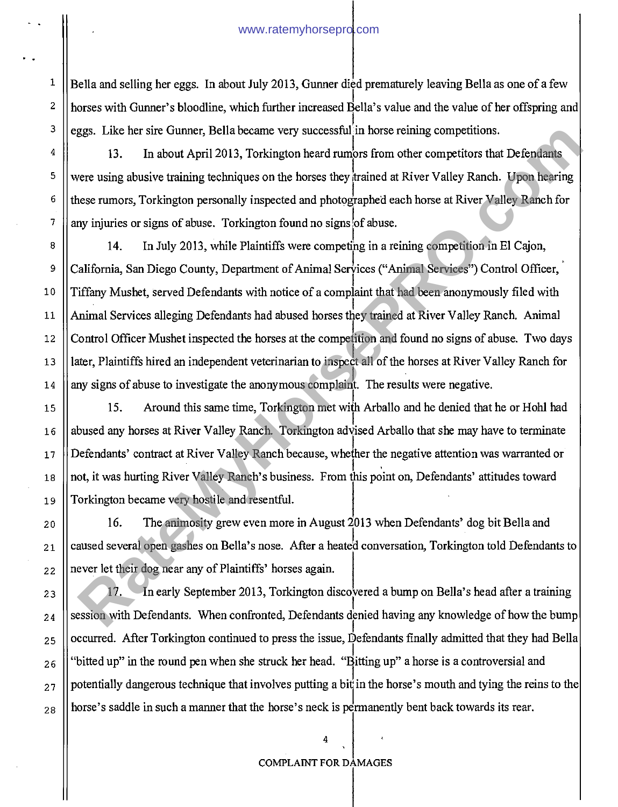1

2

3

4

5

6

7

15

16

17

18

19

20

21

22

23

24

25

26

27

28

Bella and selling her eggs. In about July 2013, Gunner died prematurely leaving Bella as one of a few horses with Gunner's bloodline, which further increased Bella's value and the value of her offspring and eggs. Like her sire Gunner, Bella became very successful in horse reining competitions.

13. In about April 2013, Torkington heard rumors from other competitors that Defendants were using abusive training techniques on the horses they trained at River Valley Ranch. Upon hearing these rumors, Torkington personally inspected and photographed each horse at River Valley Ranch for any injuries or signs of abuse. Torkington found no signs of abuse.

8 9 10 11 12 13 14 14. In July 2013, while Plaintiffs were competing in a reining competition in El Cajon, California, San Diego County, Department of Animal Services ("Animal Services") Control Officer, Tiffany Mushet, served Defendants with notice of a complaint that had been anonymously filed with Animal Services alleging Defendants had abused horses they trained at River Valley Ranch. Animal Control Officer Mushet inspected the horses at the competition and found no signs of abuse. Two days later, Plaintiffs hired an independent veterinarian to inspect all of the horses at River Valley Ranch for any signs of abuse to investigate the anonymous complaint. The results were negative. ggs. Like her sire (unner, Bella became very successful in horse reining competitions.<br>
13. In about April 2013, Torkington heard rumors from other competitions.<br>
13. In about April 2013, Torkington the horses they trained

15. Around this same time, Torkington met with Arballo and he denied that he or Hohl had abused any horses at River Valley Ranch. Torkington advised Arballo that she may have to terminate Defendants' contract at River Valley Ranch because, whelher the negative attention was warranted or not, it was hurting River Valley Ranch's business. From this point on, Defendants' attitudes toward Torkington became very hostile and resentful.

16. The animosity grew even more in August  $2013$  when Defendants' dog bit Bella and caused several open gashes on Bella's nose. After a heated conversation, Torkington told Defendants to never let their dog near any of Plaintiffs' horses again.

17. In early September 2013, Torkington discovered a bump on Bella's head after a training session with Defendants. When confronted, Defendants denied having any knowledge of how the bump occurred. After Torkington continued to press the issue, Defendants finally admitted that they had Bella "bitted up" in the round pen when she struck her head. "Bitting up" a horse is a controversial and potentially dangerous technique that involves putting a bit in the horse's mouth and tying the reins to the horse's saddle in such a manner that the horse's neck is permanently bent back towards its rear.

#### COMPLAINT FOR DAMAGES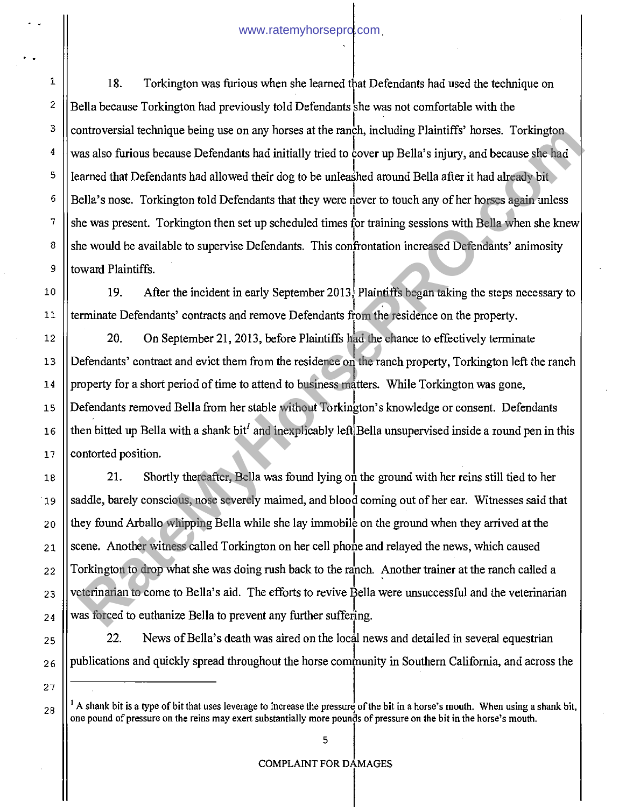18. Torkington was furious when she learned that Defendants had used the technique on Bella because Torkington had previously told Defendants she was not comfortable with the controversial technique being use on any horses at the ranch, including Plaintiffs' horses. Torkington was also furious because Defendants had initially tried to cover up Bella's injury, and because she had learned that Defendants had allowed their dog to be unleashed around Bella after it had already bit Bella's nose. Torkington told Defendants that they were never to touch any of her horses again unless she was present. Torkington then set up scheduled times for training sessions with Bella when she knew she would be available to supervise Defendants. This confrontation increased Defendants' animosity toward Plaintiffs.

19. After the incident in early September 2013, Plaintiffs began taking the steps necessary to terminate Defendants' contracts and remove Defendants from the residence on the property.

20. On September 21, 2013, before Plaintiffs had the chance to effectively terminate Defendants' contract and evict them from the residence on the ranch property, Torkington left the ranch property for a short period of time to attend to business matters. While Torkington was gone, Defendants removed Bella from her stable without Torkington's knowledge or consent. Defendants then bitted up Bella with a shank bit<sup> $\ell$ </sup> and inexplicably left Bella unsupervised inside a round pen in this contorted position.

18 19 20 21 22 23 24 21. Shortly thereafter, Bella was found lying on the ground with her reins still tied to her saddle, barely conscious, nose severely maimed, and blood coming out of her ear. Witnesses said that they found Arballo whipping Bella while she lay immobile on the ground when they arrived at the scene. Another witness called Torkington on her cell phone and relayed the news, which caused Torkington to drop what she was doing rush back to the ranch. Another trainer at the ranch called a veterinarian to come to Bella's aid. The efforts to revive Bella were unsuccessful and the veterinarian was forced to euthanize Bella to prevent any further suffering. ontroversial technique being use on any horses at the ranch, meluding Plantill's' horses. Torkington<br>
and a furtions because Defendants had initially ried to cover up Bella's injury, and because she had<br>
rearned that Defen

22. News of Bella's death was aired on the local news and detailed in several equestrian publications and quickly spread throughout the horse community in Southern California, and across the

26 27

28

25

1

2

3

4

5

6

7

8

9

10

11

12

13

14

15

16

<sup>&</sup>lt;sup>1</sup> A shank bit is a type of bit that uses leverage to increase the pressure of the bit in a horse's mouth. When using a shank bit, one pound of pressure on the reins may exert substantially more pounds of pressure on the bit in the horse's mouth.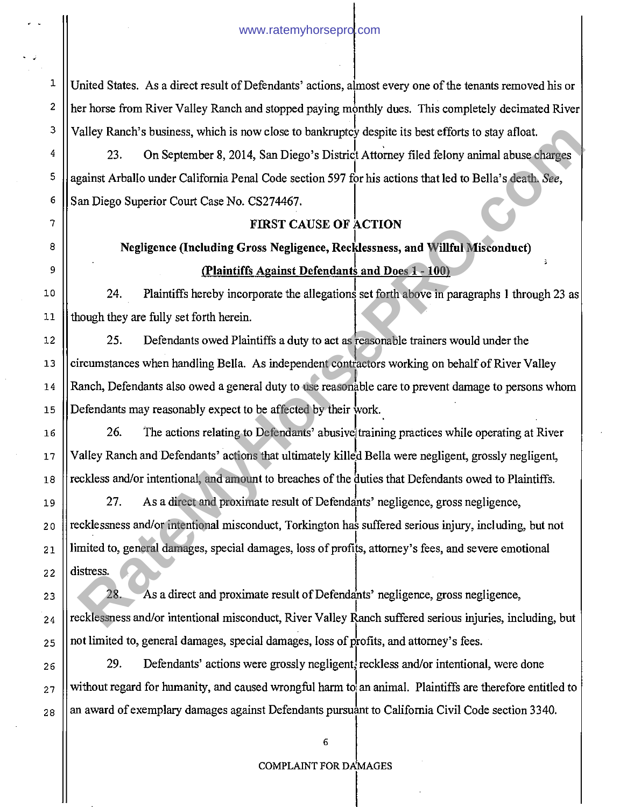United States. As a direct result of Defendants' actions, almost every one of the tenants removed his or her horse from River Valley Ranch and stopped paying monthly dues. This completely decimated River Valley Ranch's business, which is now close to bankruptcy despite its best efforts to stay afloat.

23. On September 8, 2014, San Diego's District Attorney filed felony animal abuse charges against Arballo under California Penal Code section 597 for his actions that led to Bella's death. *See,*  San Diego Superior Court Case No. CS274467.

### **FIRST CAUSE OF ACTION**

**Negligence (Including Gross Negligence, Recklessness, and Willful Misconduct) (Plaintiffs Against Defendants and Does 1 - 100)** 

24. Plaintiffs hereby incorporate the allegations set forth above in paragraphs 1 through 23 as though they are fully set forth herein.

25. Defendants owed Plaintiffs a duty to act as reasonable trainers would under the circumstances when handling Bella. As independent contractors working on behalf of River Valley Ranch, Defendants also owed a general duty to use reasonable care to prevent damage to persons whom Defendants may reasonably expect to be affected by their work..

26. The actions relating to Defendants' abusive training practices while operating at River Valley Ranch and Defendants' actions that ultimately killed Bella were negligent, grossly negligent, reckless and/or intentional, and amount to breaches of the duties that Defendants owed to Plaintiffs.

27. As a direct and proximate result of Defendants' negligence, gross negligence, recklessness and/or intentional misconduct, Torkington has suffered serious injury, including, but not limited to, general damages, special damages, loss of profits, attorney's fees, and severe emotional distress. Valley Ranch's business, which is now close to bankruptcy despite its best efforts to stay afloat.<br>
23. On September 8, 2014, San Diego's District Attomey filed felony nnimal abuse charges<br>
23. On September 8, 2014, San Di

28. As a direct and proximate result of Defendants' negligence, gross negligence, recklessness and/or intentional misconduct, River Valley Ranch suffered serious injuries, including, but not limited to, general damages, special damages, loss of profits, and attorney's fees.

29. Defendants' actions were grossly negligent, reckless and/or intentional, were done without regard for humanity, and caused wrongful harm to an animal. Plaintiffs are therefore entitled to an award of exemplary damages against Defendants pursuant to California Civil Code section 3340.

1

2

#### COMPLAINT FOR DAMAGES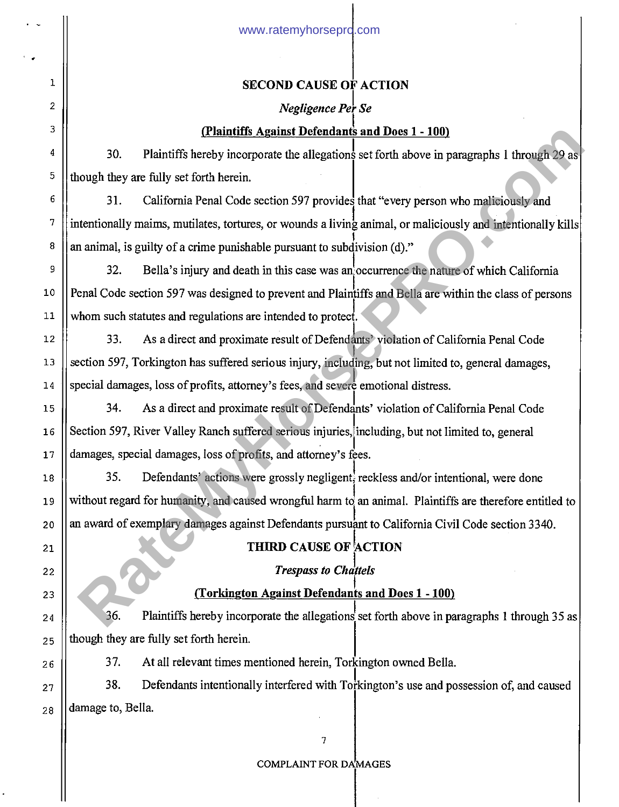1

2

3

4

5

6

7

8

9

10

11

15

16

17

18

19

20

21

22

23

24

25

26

27

28

# **SECOND CAUSE OF ACTION**

### *Negligence Per Sc*

# **(Plaintiffs Against Defendants and Does 1 - 100)**

30. Plaintiffs hereby incorporate the allegations set forth above in paragraphs 1 through 29 as though they are fully set forth herein.

31. California Penal Code section 597 provides that "every person who maliciously and intentionally maims, mutilates, tortures, or wounds a living animal, or maliciously and intentionally kills an animal, is guilty of a crime punishable pursuant to subdivision (d)." **Rates of the Constraints of the Constraints and Does 1 - 100)<br>
30. Plaintiffs hereby incorporate the allegations set forth above in panagraphs 1 through 29 as<br>
bough they are fully set forth herein.<br>
31. California Penal** 

32. Bella's injury and death in this case was an occurrence the nature of which California Penal Code section 597 was designed to prevent and Plaintiffs and Bella are within the class of persons whom such statutes and regulations are intended to protect.

12 13 19 33. As a direct and proximate result of Defendants' violation of California Penal Code section 597, Torkington has suffered serious injury, including, but not limited to, general damages, special damages, loss of profits, attorney's fees, and severe emotional distress.

34. As a direct and proximate result of Defendants' violation of California Penal Code Section 597, River Valley Ranch suffered serious injuries, including, but not limited to, general damages, special damages, loss of profits, and attorney's fees.

35. Defendants' actions were grossly negligent, reckless and/or intentional, were done without regard for humanity, and caused wrongful harm to an animal. Plaintiffs are therefore entitled to an award of exemplary damages against Defendants pursuant to California Civil Code section 3340.

# **THIRD CAUSE OF ACTION**

# *Trespass to Chattels*

# **(Torkington Against Defendants and Does 1 - 100)**

36. Plaintiffs hereby incorporate the allegations set forth above in paragraphs 1 through 35 as though they are fully set forth herein.

37. At all relevant times mentioned herein, Torkington owned Bella.

38. Defendants intentionally interfered with Torkington's use and possession of, and caused damage to, Bella.

COMPLAINT FOR DAMAGES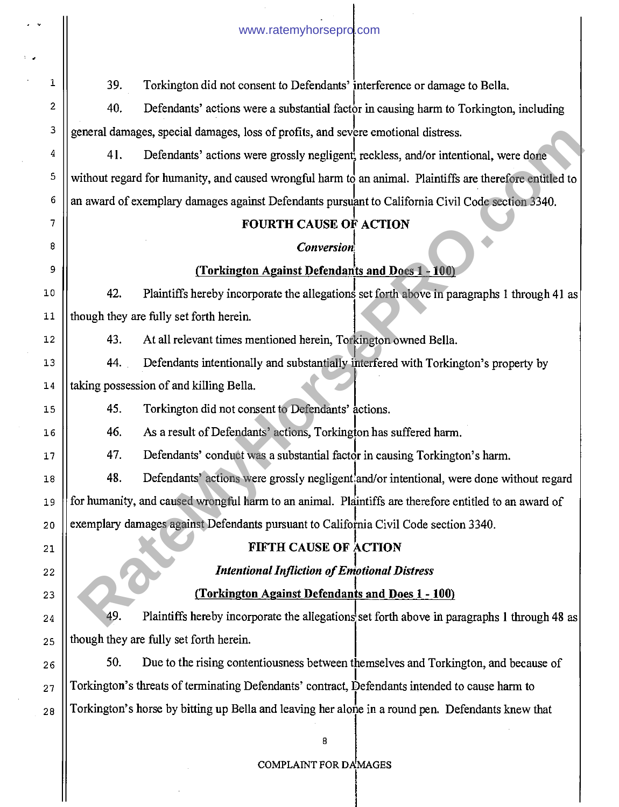39. Torkington did not consent to Defendants' nterference or damage to Bella. 40. Defendants' actions were a substantial factor in causing harm to Torkington, including general damages, special damages, loss of profits, and severe emotional distress. 41. Defendants' actions were grossly negligent, reckless, and/or intentional, were done without regard for humanity, and caused wrongful harm to an animal. Plaintiffs are therefore entitled to an award of exemplary damages against Defendants pursuant to California Civil Code section 3340. **FOURTH CAUSE OF ACTION**  *Conversion*  **(Torkington Against Defendants and Does 1 - 100)**  42. Plaintiffs hereby incorporate the allegations set forth above in paragraphs 1 through 41 as though they are fully set forth herein. 43. At all relevant times mentioned herein, Torkington owned Bella. 44. Defendants intentionally and substantially interfered with Torkington's property by taking possession of and killing Bella. 45. Torkington did not consent to Defendants' actions. 46. As a result of Defendants' actions, Torkington has suffered harm. 47. Defendants' conduct was a substantial factor in causing Torkington's harm. 48. Defendants' actions were grossly negligent and/or intentional, were done without regard for humanity, and caused wrongful harm to an animal. Plaintiffs are therefore entitled to an award of exemplary damages against Defendants pursuant to California Civil Code section 3340. **FIFTH CAUSE OF ACTION**  *Intentional Infliction of Emotional Distress*  **(Torkington Against Defendants and Does 1 - 100)**  49. Plaintiffs hereby incorporate the allegations set forth above in paragraphs 1 through 48 as though they are fully set forth herein. 50. Due to the rising contentiousness between themselves and Torkington, and because of Torkington's threats of terminating Defendants' contract, Defendants intended to cause harm to Torkington's horse by bitting up Bella and leaving her alone in a round pen. Defendants knew that 8 1 2 3 4 5 6 7 8 9 10 11 12 13 14 15 16 17 18 19 20 21 22 23 24 25 26 27 28 **Example 2018** are all damages, loss of profits, and severe emotional distress.<br>
41. Defendants' actions were grossly negligern, reckless, and/or intentional, were done<br>
Aribout regard for humanity, and caused worspful har

www.ratemyhorsepro.com

#### COMPLAINT FOR DAMAGES